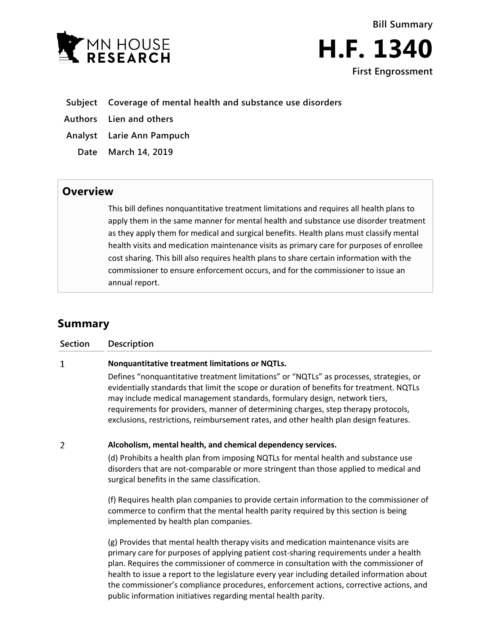



## **Subject Coverage of mental health and substance use disorders**

**Authors Lien and others**

**Analyst Larie Ann Pampuch**

**Date March 14, 2019**

## **Overview**

This bill defines nonquantitative treatment limitations and requires all health plans to apply them in the same manner for mental health and substance use disorder treatment as they apply them for medical and surgical benefits. Health plans must classify mental health visits and medication maintenance visits as primary care for purposes of enrollee cost sharing. This bill also requires health plans to share certain information with the commissioner to ensure enforcement occurs, and for the commissioner to issue an annual report.

## **Summary**

| <b>Section</b> | Description                                                                                                                                                                                                                                                                                                                                                                                                                                                                                                                       |
|----------------|-----------------------------------------------------------------------------------------------------------------------------------------------------------------------------------------------------------------------------------------------------------------------------------------------------------------------------------------------------------------------------------------------------------------------------------------------------------------------------------------------------------------------------------|
| 1              | Nonquantitative treatment limitations or NQTLs.                                                                                                                                                                                                                                                                                                                                                                                                                                                                                   |
|                | Defines "nonquantitative treatment limitations" or "NQTLs" as processes, strategies, or<br>evidentially standards that limit the scope or duration of benefits for treatment. NQTLs<br>may include medical management standards, formulary design, network tiers,<br>requirements for providers, manner of determining charges, step therapy protocols,<br>exclusions, restrictions, reimbursement rates, and other health plan design features.                                                                                  |
| $\overline{2}$ | Alcoholism, mental health, and chemical dependency services.                                                                                                                                                                                                                                                                                                                                                                                                                                                                      |
|                | (d) Prohibits a health plan from imposing NQTLs for mental health and substance use<br>disorders that are not-comparable or more stringent than those applied to medical and<br>surgical benefits in the same classification.                                                                                                                                                                                                                                                                                                     |
|                | (f) Requires health plan companies to provide certain information to the commissioner of<br>commerce to confirm that the mental health parity required by this section is being<br>implemented by health plan companies.                                                                                                                                                                                                                                                                                                          |
|                | (g) Provides that mental health therapy visits and medication maintenance visits are<br>primary care for purposes of applying patient cost-sharing requirements under a health<br>plan. Requires the commissioner of commerce in consultation with the commissioner of<br>health to issue a report to the legislature every year including detailed information about<br>the commissioner's compliance procedures, enforcement actions, corrective actions, and<br>public information initiatives regarding mental health parity. |